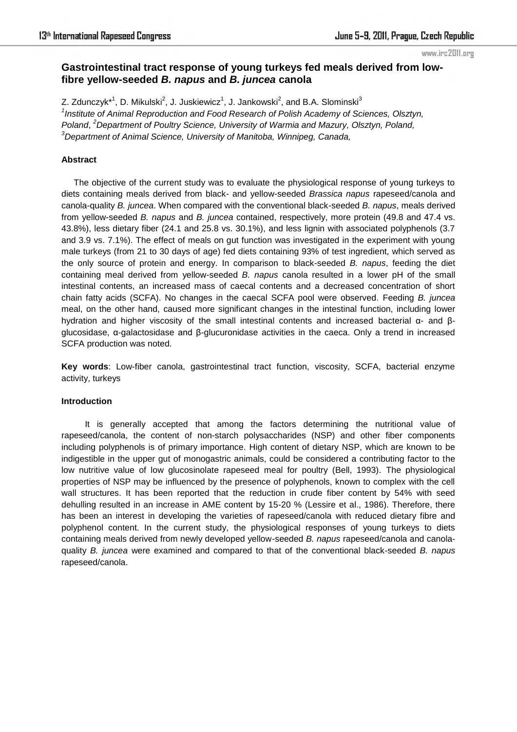#### www.irc2011.org

# **Gastrointestinal tract response of young turkeys fed meals derived from lowfibre yellow-seeded** *B. napus* **and** *B. juncea* **canola**

Z. Zdunczyk\*<sup>1</sup>, D. Mikulski<sup>2</sup>, J. Juskiewicz<sup>1</sup>, J. Jankowski<sup>2</sup>, and B.A. Slominski<sup>3</sup> <sup>1</sup> Institute of Animal Reproduction and Food Research of Polish Academy of Sciences, Olsztyn, *Poland*, *<sup>2</sup>Department of Poultry Science, University of Warmia and Mazury, Olsztyn, Poland, <sup>3</sup>Department of Animal Science, University of Manitoba, Winnipeg, Canada,*

#### **Abstract**

The objective of the current study was to evaluate the physiological response of young turkeys to diets containing meals derived from black- and yellow-seeded *Brassica napus* rapeseed/canola and canola-quality *B. juncea*. When compared with the conventional black-seeded *B. napus*, meals derived from yellow-seeded *B. napus* and *B. juncea* contained, respectively, more protein (49.8 and 47.4 vs. 43.8%), less dietary fiber (24.1 and 25.8 vs. 30.1%), and less lignin with associated polyphenols (3.7 and 3.9 vs. 7.1%). The effect of meals on gut function was investigated in the experiment with young male turkeys (from 21 to 30 days of age) fed diets containing 93% of test ingredient, which served as the only source of protein and energy. In comparison to black-seeded *B. napus*, feeding the diet containing meal derived from yellow-seeded *B. napus* canola resulted in a lower pH of the small intestinal contents, an increased mass of caecal contents and a decreased concentration of short chain fatty acids (SCFA). No changes in the caecal SCFA pool were observed. Feeding *B. juncea* meal, on the other hand, caused more significant changes in the intestinal function, including lower hydration and higher viscosity of the small intestinal contents and increased bacterial α- and βglucosidase, α-galactosidase and β-glucuronidase activities in the caeca. Only a trend in increased SCFA production was noted.

**Key words**: Low-fiber canola, gastrointestinal tract function, viscosity, SCFA, bacterial enzyme activity, turkeys

#### **Introduction**

It is generally accepted that among the factors determining the nutritional value of rapeseed/canola, the content of non-starch polysaccharides (NSP) and other fiber components including polyphenols is of primary importance. High content of dietary NSP, which are known to be indigestible in the upper gut of monogastric animals, could be considered a contributing factor to the low nutritive value of low glucosinolate rapeseed meal for poultry (Bell, 1993). The physiological properties of NSP may be influenced by the presence of polyphenols, known to complex with the cell wall structures. It has been reported that the reduction in crude fiber content by 54% with seed dehulling resulted in an increase in AME content by 15-20 % (Lessire et al., 1986). Therefore, there has been an interest in developing the varieties of rapeseed/canola with reduced dietary fibre and polyphenol content. In the current study, the physiological responses of young turkeys to diets containing meals derived from newly developed yellow-seeded *B. napus* rapeseed/canola and canolaquality *B. juncea* were examined and compared to that of the conventional black-seeded *B. napus* rapeseed/canola.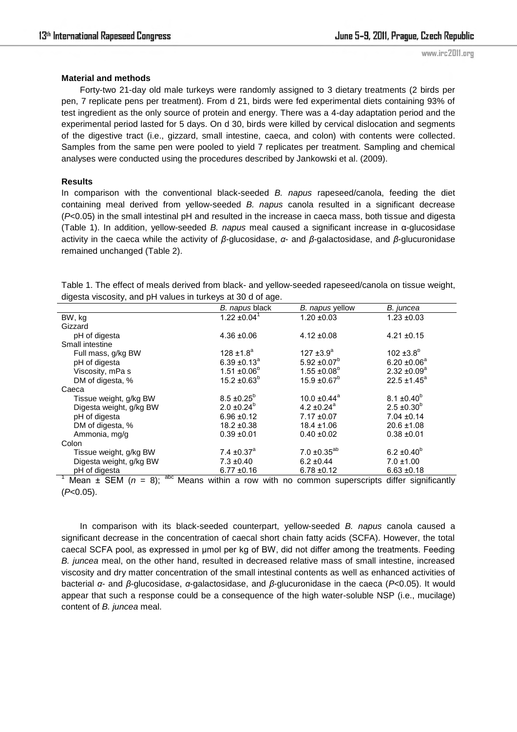### **Material and methods**

Forty-two 21-day old male turkeys were randomly assigned to 3 dietary treatments (2 birds per pen, 7 replicate pens per treatment). From d 21, birds were fed experimental diets containing 93% of test ingredient as the only source of protein and energy. There was a 4-day adaptation period and the experimental period lasted for 5 days. On d 30, birds were killed by cervical dislocation and segments of the digestive tract (i.e., gizzard, small intestine, caeca, and colon) with contents were collected. Samples from the same pen were pooled to yield 7 replicates per treatment. Sampling and chemical analyses were conducted using the procedures described by Jankowski et al. (2009).

# **Results**

In comparison with the conventional black-seeded *B. napus* rapeseed/canola, feeding the diet containing meal derived from yellow-seeded *B. napus* canola resulted in a significant decrease (*P*<0.05) in the small intestinal pH and resulted in the increase in caeca mass, both tissue and digesta (Table 1). In addition, yellow-seeded *B. napus* meal caused a significant increase in α-glucosidase activity in the caeca while the activity of *β*-glucosidase, *α*- and *β*-galactosidase, and *β*-glucuronidase remained unchanged (Table 2).

Table 1. The effect of meals derived from black- and yellow-seeded rapeseed/canola on tissue weight, digesta viscosity, and pH values in turkeys at 30 d of age.

| . .                                                 |                              |                              |                        |
|-----------------------------------------------------|------------------------------|------------------------------|------------------------|
|                                                     | B. napus black               | B. napus yellow              | B. juncea              |
| BW, kg                                              | $1.22 \pm 0.04$ <sup>1</sup> | $1.20 \pm 0.03$              | $1.23 \pm 0.03$        |
| Gizzard                                             |                              |                              |                        |
| pH of digesta                                       | $4.36 + 0.06$                | $4.12 \pm 0.08$              | $4.21 \pm 0.15$        |
| Small intestine                                     |                              |                              |                        |
| Full mass, g/kg BW                                  | $128 \pm 1.8^a$              | 127 $\pm 3.9^{\circ}$        | 102 $\pm 3.8^{\circ}$  |
| pH of digesta                                       | $6.39 \pm 0.13^{\circ}$      | $5.92 \pm 0.07^b$            | $6.20 \pm 0.06^a$      |
| Viscosity, mPa s                                    | $1.51 \pm 0.06^{\circ}$      | $1.55 \pm 0.08^{\circ}$      | $2.32 \pm 0.09^a$      |
| DM of digesta, %                                    | $15.2 \pm 0.63^b$            | $15.9 \pm 0.67^b$            | $22.5 \pm 1.45^a$      |
| Caeca                                               |                              |                              |                        |
| Tissue weight, g/kg BW                              | $8.5 \pm 0.25^b$             | 10.0 $\pm$ 0.44 <sup>a</sup> | $8.1 \pm 0.40^b$       |
| Digesta weight, g/kg BW                             | $2.0 \pm 0.24^b$             | 4.2 $\pm 0.24$ <sup>a</sup>  | $2.5 \pm 0.30^{\circ}$ |
| pH of digesta                                       | $6.96 \pm 0.12$              | $7.17 \pm 0.07$              | $7.04 \pm 0.14$        |
| DM of digesta, %                                    | $18.2 \pm 0.38$              | $18.4 \pm 1.06$              | $20.6 \pm 1.08$        |
| Ammonia, mg/g                                       | $0.39 + 0.01$                | $0.40 \pm 0.02$              | $0.38 + 0.01$          |
| Colon                                               |                              |                              |                        |
| Tissue weight, g/kg BW                              | 7.4 $\pm$ 0.37 <sup>a</sup>  | $7.0 \pm 0.35^{ab}$          | $6.2 \pm 0.40^b$       |
| Digesta weight, g/kg BW                             | $7.3 \pm 0.40$               | $6.2 \pm 0.44$               | $7.0 \pm 1.00$         |
| pH of digesta                                       | $6.77 \pm 0.16$              | $6.78 + 0.12$                | $6.63 \pm 0.18$        |
| $abc + b$<br>$\sim$<br>$\sim$ $ \sim$ $\sim$<br>. . | .<br>$\cdots$                |                              | $\cdots$               |

Mean  $\pm$  SEM ( $n = 8$ ); <sup>abc</sup> Means within a row with no common superscripts differ significantly (*P*<0.05).

In comparison with its black-seeded counterpart, yellow-seeded *B. napus* canola caused a significant decrease in the concentration of caecal short chain fatty acids (SCFA). However, the total caecal SCFA pool, as expressed in µmol per kg of BW, did not differ among the treatments. Feeding *B. juncea* meal, on the other hand, resulted in decreased relative mass of small intestine, increased viscosity and dry matter concentration of the small intestinal contents as well as enhanced activities of bacterial *α*- and *β*-glucosidase, *α*-galactosidase, and *β*-glucuronidase in the caeca (*P*<0.05). It would appear that such a response could be a consequence of the high water-soluble NSP (i.e., mucilage) content of *B. juncea* meal.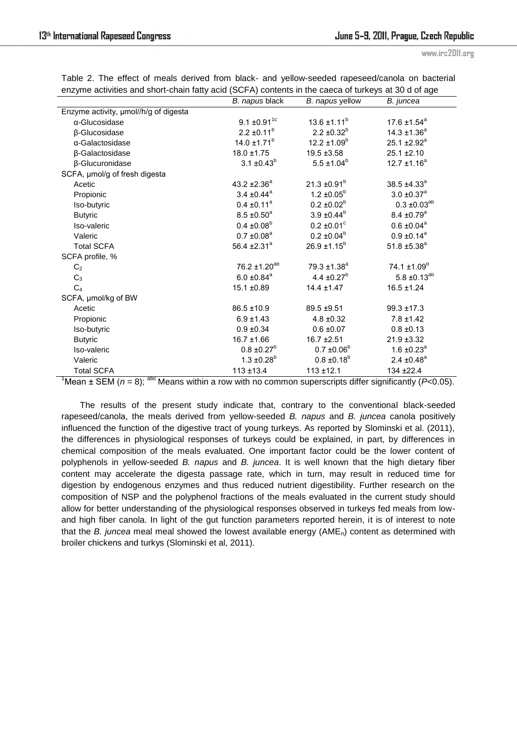www.irc2011.org

|                                       | B. napus black               | B. napus yellow             | B. juncea                    |
|---------------------------------------|------------------------------|-----------------------------|------------------------------|
| Enzyme activity, umol//h/g of digesta |                              |                             |                              |
| α-Glucosidase                         | $9.1 \pm 0.91$ <sup>1c</sup> | $13.6 \pm 1.11^b$           | 17.6 $\pm$ 1.54 <sup>a</sup> |
| β-Glucosidase                         | $2.2 \pm 0.11^b$             | $2.2 \pm 0.32^b$            | $14.3 \pm 1.36^a$            |
| $\alpha$ -Galactosidase               | 14.0 $\pm$ 1.71 <sup>b</sup> | $12.2 \pm 1.09^b$           | 25.1 $\pm$ 2.92 <sup>a</sup> |
| β-Galactosidase                       | $18.0 \pm 1.75$              | $19.5 \pm 3.58$             | $25.1 \pm 2.10$              |
| β-Glucuronidase                       | $3.1 \pm 0.43^b$             | $5.5 \pm 1.04^b$            | $12.7 \pm 1.16^a$            |
| SCFA, µmol/g of fresh digesta         |                              |                             |                              |
| Acetic                                | 43.2 $\pm 2.36^a$            | $21.3 \pm 0.91^b$           | $38.5 + 4.33^a$              |
| Propionic                             | $3.4 \pm 0.44$ <sup>a</sup>  | $1.2 \pm 0.05^b$            | $3.0 \pm 0.37$ <sup>a</sup>  |
| Iso-butyric                           | $0.4 \pm 0.11^a$             | $0.2 \pm 0.02^b$            | $0.3 \pm 0.03^{ab}$          |
| <b>Butyric</b>                        | $8.5 \pm 0.50^a$             | $3.9 \pm 0.44^b$            | $8.4 \pm 0.79$ <sup>a</sup>  |
| Iso-valeric                           | $0.4 \pm 0.08^b$             | $0.2 \pm 0.01$ <sup>c</sup> | $0.6 \pm 0.04$ <sup>a</sup>  |
| Valeric                               | $0.7 \pm 0.08$ <sup>a</sup>  | $0.2 \pm 0.04^b$            | $0.9 \pm 0.14$ <sup>a</sup>  |
| <b>Total SCFA</b>                     | 56.4 $\pm 2.31$ <sup>a</sup> | $26.9 \pm 1.15^b$           | 51.8 $\pm$ 5.38 <sup>a</sup> |
| SCFA profile, %                       |                              |                             |                              |
| C <sub>2</sub>                        | $76.2 \pm 1.20^{ab}$         | $79.3 \pm 1.38^a$           | $74.1 \pm 1.09^b$            |
| $C_3$                                 | $6.0 \pm 0.84$ <sup>a</sup>  | 4.4 $\pm 0.27^{\rm b}$      | $5.8 \pm 0.13^{ab}$          |
| C <sub>4</sub>                        | 15.1 ±0.89                   | $14.4 \pm 1.47$             | $16.5 \pm 1.24$              |
| SCFA, µmol/kg of BW                   |                              |                             |                              |
| Acetic                                | $86.5 \pm 10.9$              | 89.5 ±9.51                  | $99.3 \pm 17.3$              |
| Propionic                             | $6.9 \pm 1.43$               | $4.8 \pm 0.32$              | $7.8 \pm 1.42$               |
| Iso-butyric                           | $0.9 \pm 0.34$               | $0.6 \pm 0.07$              | $0.8 \pm 0.13$               |
| <b>Butyric</b>                        | $16.7 \pm 1.66$              | $16.7 \pm 2.51$             | 21.9 ±3.32                   |
| Iso-valeric                           | $0.8 \pm 0.27^b$             | $0.7 \pm 0.06^b$            | $1.6 \pm 0.23^a$             |
| Valeric                               | $1.3 \pm 0.28^{\circ}$       | $0.8 \pm 0.18^b$            | 2.4 $\pm$ 0.48 <sup>a</sup>  |
| <b>Total SCFA</b>                     | $113 + 13.4$                 | $113 + 12.1$                | 134 ±22.4                    |

|  |  |  |  |  | Table 2. The effect of meals derived from black- and yellow-seeded rapeseed/canola on bacterial     |  |  |
|--|--|--|--|--|-----------------------------------------------------------------------------------------------------|--|--|
|  |  |  |  |  | enzyme activities and short-chain fatty acid (SCFA) contents in the caeca of turkeys at 30 d of age |  |  |

<sup>1</sup>Mean  $\pm$  SEM ( $n = 8$ ); <sup>abc</sup> Means within a row with no common superscripts differ significantly (*P*<0.05).

The results of the present study indicate that, contrary to the conventional black-seeded rapeseed/canola, the meals derived from yellow-seeded *B. napus* and *B. juncea* canola positively influenced the function of the digestive tract of young turkeys. As reported by Slominski et al. (2011), the differences in physiological responses of turkeys could be explained, in part, by differences in chemical composition of the meals evaluated. One important factor could be the lower content of polyphenols in yellow-seeded *B. napus* and *B. juncea*. It is well known that the high dietary fiber content may accelerate the digesta passage rate, which in turn, may result in reduced time for digestion by endogenous enzymes and thus reduced nutrient digestibility. Further research on the composition of NSP and the polyphenol fractions of the meals evaluated in the current study should allow for better understanding of the physiological responses observed in turkeys fed meals from lowand high fiber canola. In light of the gut function parameters reported herein, it is of interest to note that the *B. juncea* meal meal showed the lowest available energy (AMEn) content as determined with broiler chickens and turkys (Slominski et al, 2011).